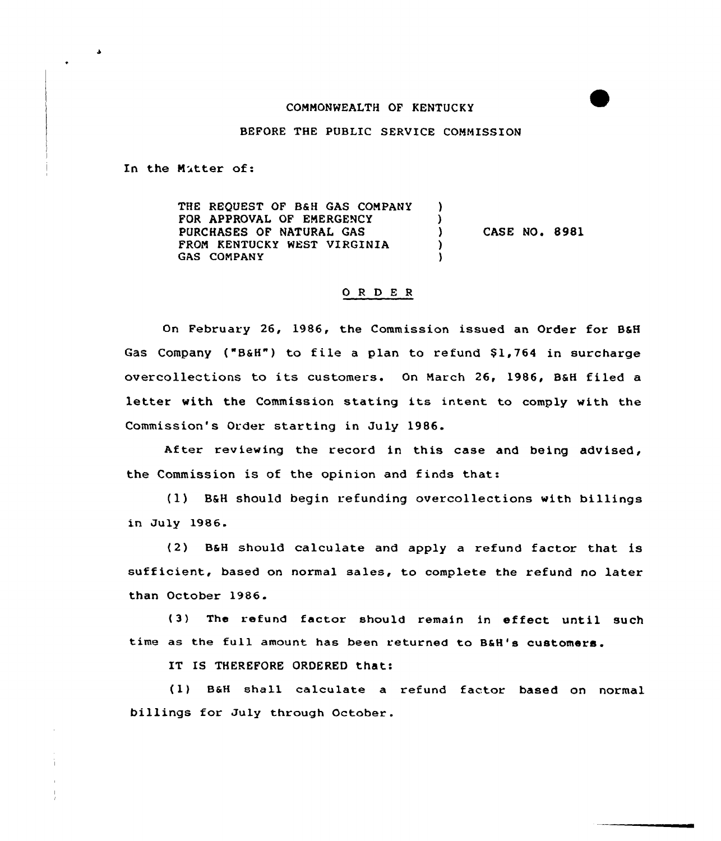## COMMONWEALTH OF KENTUCKY

## BEFORE THE PUBLIC SERVICE COMMISSION

In the Mitter of:

THE REQUEST OF B6H GAS COMPANY  $\lambda$ FOR APPROVAL OF EMERGENCY  $\lambda$ PURCHASES OF NATURAL GAS CASE NO. 8981  $\lambda$ FROM KENTUCKY WEST VIRGINIA  $\lambda$ GAS COMPANY Δ.

## 0 <sup>R</sup> <sup>D</sup> E <sup>R</sup>

On February 26, 1986, the Commission issued an Order for BSH Gas Company ("B&H") to file a plan to refund \$1,764 in surcharge overcollections to its customers. On March 26, 1986, BsH filed <sup>a</sup> letter with the Commission stating its intent to comply with the Commission's Order starting in July 1986.

After reviewing the record in this case and being advised, the Commission is of the opinion and finds that:

(1) B6H should begin refunding overcollections with billings in July 1986.

(2) BaH should calculate and apply a refund factor that is sufficient, based on normal sales, to complete the refund no later than October 1986.

(3) The refund factor should remain in effect until such time as the full amount has been returned to B&H's customers.

IT IS THEREFORE ORDERED that:

(1} B6H shall ca1culate a refund factor based on normal billings for July through October.